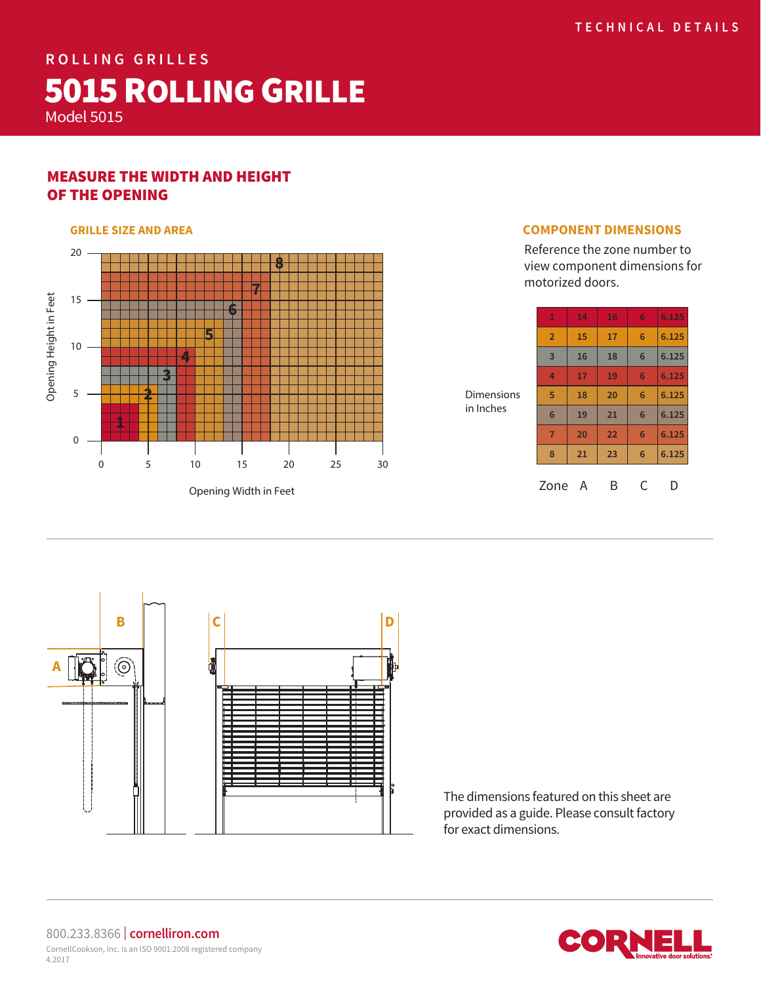# **ROLLING GRILLES 5015 ROLLING GRILLE**

Model 5015

## MEASURE THE WIDTH AND HEIGHT OF THE OPENING

#### 20 **8 7** Opening Height in Feet 15 Opening Height in Feet **6 5** 10 **4 3 2** 5 **1** 0 0 5 10 15 20 25 30

Opening Width in Feet

#### **GRILLE SIZE AND AREA COMPONENT DIMENSIONS**

Reference the zone number to view component dimensions for motorized doors.

| $\mathbf{1}$    | 14 | 16 | 6 | 6.125 |
|-----------------|----|----|---|-------|
| $\overline{2}$  | 15 | 17 | 6 | 6.125 |
| $\overline{3}$  | 16 | 18 | 6 | 6.125 |
| 4               | 17 | 19 | 6 | 6,125 |
| 5               | 18 | 20 | 6 | 6.125 |
| $6\phantom{1}6$ | 19 | 21 | 6 | 6.125 |
| $\overline{7}$  | 20 | 22 | 6 | 6.125 |
| 8               | 21 | 23 | 6 | 6.125 |
| Zone            | А  | В  | C | D     |

Dimensions in Inches

**B**  $| \cdot |$  **C**  $| \cdot |$  **D** TO  $\widehat{\circledcirc}$ **A**

The dimensions featured on this sheet are provided as a guide. Please consult factory for exact dimensions.



800.233.8366 | **cornelliron.com** CornellCookson, Inc. is an ISO 9001:2008 registered company 4.2017